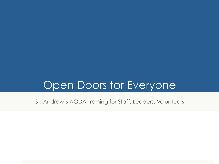# Open Doors for Everyone

St. Andrew's AODA Training for Staff, Leaders, Volunteers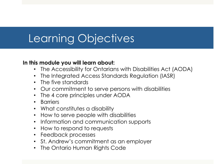# Learning Objectives

#### **In this module you will learn about:**

- The Accessibility for Ontarians with Disabilities Act (AODA)
- The Integrated Access Standards Regulation (IASR)
- The five standards
- Our commitment to serve persons with disabilities
- The 4 core principles under AODA
- Barriers
- What constitutes a disability
- How to serve people with disabilities
- Information and communication supports
- How to respond to requests
- Feedback processes
- St. Andrew's commitment as an employer
- The Ontario Human Rights Code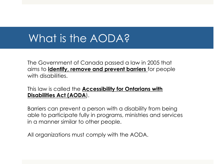# What is the AODA?

The Government of Canada passed a law in 2005 that aims to **identify, remove and prevent barriers** for people with disabilities.

#### This law is called the **Accessibility for Ontarians with Disabilities Act (AODA**).

Barriers can prevent a person with a disability from being able to participate fully in programs, ministries and services in a manner similar to other people.

All organizations must comply with the AODA.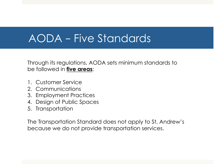### AODA – Five Standards

Through its regulations, AODA sets minimum standards to be followed in **five areas**:

- 1. Customer Service
- 2. Communications
- 3. Employment Practices
- 4. Design of Public Spaces
- 5. Transportation

The Transportation Standard does not apply to St. Andrew's because we do not provide transportation services.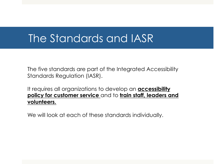#### The Standards and IASR

The five standards are part of the Integrated Accessibility Standards Regulation (IASR).

It requires all organizations to develop an **accessibility policy for customer service** and to **train staff, leaders and volunteers.** 

We will look at each of these standards individually.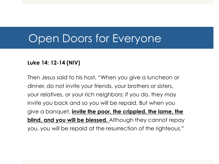#### Open Doors for Everyone

#### **Luke 14: 12-14 (NIV)**

Then Jesus said to his host, "When you give a luncheon or dinner, do not invite your friends, your brothers or sisters, your relatives, or your rich neighbors; if you do, they may invite you back and so you will be repaid. But when you give a banquet, **invite the poor, the crippled, the lame, the blind, and you will be blessed.** Although they cannot repay you, you will be repaid at the resurrection of the righteous."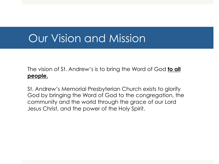#### Our Vision and Mission

The vision of St. Andrew's is to bring the Word of God **to all people.** 

St. Andrew's Memorial Presbyterian Church exists to glorify God by bringing the Word of God to the congregation, the community and the world through the grace of our Lord Jesus Christ, and the power of the Holy Spirit.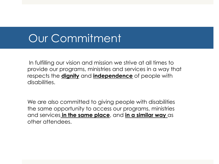# Our Commitment

In fulfilling our vision and mission we strive at all times to provide our programs, ministries and services in a way that respects the **dignity** and **independence** of people with disabilities.

We are also committed to giving people with disabilities the same opportunity to access our programs, ministries and services **in the same place**, and **in a similar way** as other attendees.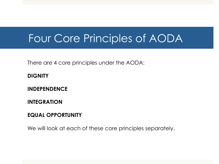### Four Core Principles of AODA

There are 4 core principles under the AODA:

**DIGNITY** 

**INDEPENDENCE** 

**INTEGRATION** 

**EQUAL OPPORTUNITY** 

We will look at each of these core principles separately.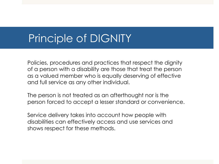# Principle of DIGNITY

Policies, procedures and practices that respect the dignity of a person with a disability are those that treat the person as a valued member who is equally deserving of effective and full service as any other individual.

The person is not treated as an afterthought nor is the person forced to accept a lesser standard or convenience.

Service delivery takes into account how people with disabilities can effectively access and use services and shows respect for these methods.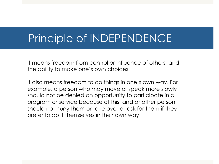### Principle of INDEPENDENCE

It means freedom from control or influence of others, and the ability to make one's own choices.

It also means freedom to do things in one's own way. For example, a person who may move or speak more slowly should not be denied an opportunity to participate in a program or service because of this, and another person should not hurry them or take over a task for them if they prefer to do it themselves in their own way.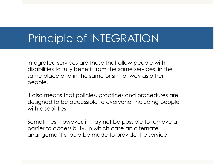# Principle of INTEGRATION

Integrated services are those that allow people with disabilities to fully benefit from the same services, in the same place and in the same or similar way as other people.

It also means that policies, practices and procedures are designed to be accessible to everyone, including people with disabilities.

Sometimes, however, it may not be possible to remove a barrier to accessibility, in which case an alternate arrangement should be made to provide the service.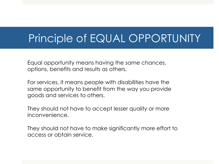### Principle of EQUAL OPPORTUNITY

Equal opportunity means having the same chances, options, benefits and results as others.

For services, it means people with disabilities have the same opportunity to benefit from the way you provide goods and services to others.

They should not have to accept lesser quality or more inconvenience.

They should not have to make significantly more effort to access or obtain service.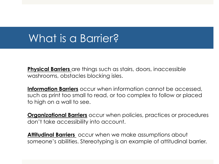# What is a Barrier?

**Physical Barriers** are things such as stairs, doors, inaccessible washrooms, obstacles blocking isles.

**Information Barriers** occur when information cannot be accessed, such as print too small to read, or too complex to follow or placed to high on a wall to see.

**Organizational Barriers** occur when policies, practices or procedures don't take accessibility into account.

**Attitudinal Barriers** occur when we make assumptions about someone's abilities. Stereotyping is an example of attitudinal barrier.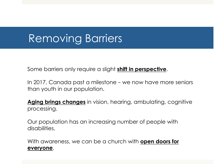# Removing Barriers

Some barriers only require a slight **shift in perspective**.

In 2017, Canada past a milestone – we now have more seniors than youth in our population.

**Aging brings changes** in vision, hearing, ambulating, cognitive processing.

Our population has an increasing number of people with disabilities.

With awareness, we can be a church with **open doors for everyone**.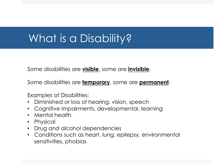# What is a Disability?

Some disabilities are **visible**, some are **invisible**.

Some disabilities are **temporary**, some are **permanent**.

Examples of Disabilities:

- Diminished or loss of hearing, vision, speech
- Cognitive impairments, developmental, learning
- Mental health
- Physical
- Drug and alcohol dependencies
- Conditions such as heart, lung, epilepsy, environmental sensitivities, phobias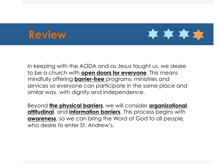#### **Review**



In keeping with the AODA and as Jesus taught us, we desire to be a church with **open doors for everyone**. This means mindfully offering **barrier-free** programs, ministries and services so everyone can participate in the same place and similar way, with dignity and independence.

Beyond **the physical barriers**, we will consider **organizational**, **attitudinal**, and **information barriers**. This process begins with **awareness**, so we can bring the Word of God to all people, who desire to enter St. Andrew's.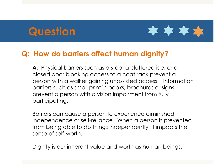#### **Question**



#### **Q: How do barriers affect human dignity?**

**A:** Physical barriers such as a step, a cluttered isle, or a closed door blocking access to a coat rack prevent a person with a walker gaining unassisted access. Information barriers such as small print in books, brochures or signs prevent a person with a vision impairment from fully participating.

Barriers can cause a person to experience diminished independence or self-reliance. When a person is prevented from being able to do things independently, it impacts their sense of self-worth.

Dignity is our inherent value and worth as human beings.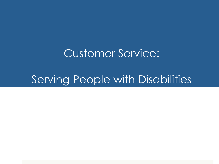#### Customer Service:

# Serving People with Disabilities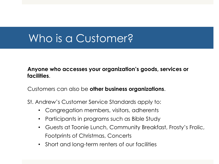# Who is a Customer?

#### **Anyone who accesses your organization's goods, services or facilities**.

Customers can also be **other business organizations**.

St. Andrew's Customer Service Standards apply to:

- Congregation members, visitors, adherents
- Participants in programs such as Bible Study
- Guests at Toonie Lunch, Community Breakfast, Frosty's Frolic, Footprints of Christmas, Concerts
- Short and long-term renters of our facilities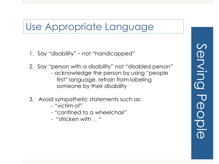#### Use Appropriate Language

- 1. Say "disability" not "handicapped"
- 2. Say "person with a disability" not "disabled person"
	- acknowledge the person by using "people first" language, refrain from labeling someone by their disability
- 3. Avoid sympathetic statements such as:
	- "victim of"
	- "confined to a wheelchair"
	- "stricken with … "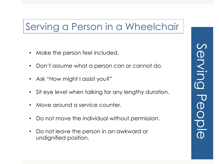#### Serving a Person in a Wheelchair

- Make the person feel included.
- Don't assume what a person can or cannot do.
- Ask "How might I assist you?"
- Sit eye level when talking for any lengthy duration.
- Move around a service counter.
- Do not move the individual without permission.
- Do not leave the person in an awkward or undignified position.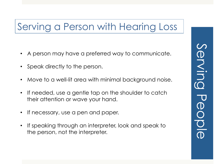# Serving a Person with Hearing Loss

- A person may have a preferred way to communicate.
- Speak directly to the person.
- Move to a well-lit area with minimal background noise.
- If needed, use a gentle tap on the shoulder to catch their attention or wave your hand.
- If necessary, use a pen and paper.
- If speaking through an interpreter, look and speak to the person, not the interpreter.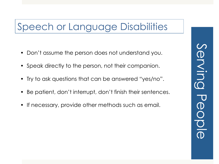### Speech or Language Disabilities

- Don't assume the person does not understand you.
- Speak directly to the person, not their companion.
- Try to ask questions that can be answered "yes/no".
- Be patient, don't interrupt, don't finish their sentences.
- If necessary, provide other methods such as email.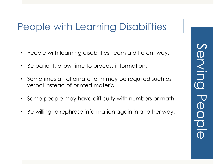#### People with Learning Disabilities

- People with learning disabilities learn a different way.
- Be patient, allow time to process information.
- Sometimes an alternate form may be required such as verbal instead of printed material.
- Some people may have difficulty with numbers or math.
- Be willing to rephrase information again in another way.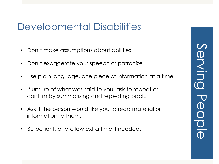#### Developmental Disabilities

- Don't make assumptions about abilities.
- Don't exaggerate your speech or patronize.
- Use plain language, one piece of information at a time.
- If unsure of what was said to you, ask to repeat or confirm by summarizing and repeating back.
- Ask if the person would like you to read material or information to them.
- Be patient, and allow extra time if needed.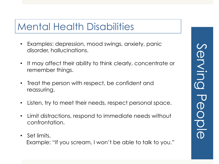#### Mental Health Disabilities

- Examples: depression, mood swings, anxiety, panic disorder, hallucinations.
- It may affect their ability to think clearly, concentrate or remember things.
- Treat the person with respect, be confident and reassuring.
- Listen, try to meet their needs, respect personal space.
- Limit distractions, respond to immediate needs without confrontation.
- Set limits. Example: "If you scream, I won't be able to talk to you."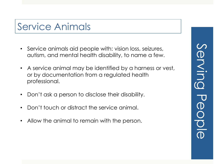#### Service Animals

- Service animals aid people with: vision loss, seizures, autism, and mental health disability, to name a few.
- A service animal may be identified by a harness or vest, or by documentation from a regulated health professional.
- Don't ask a person to disclose their disability.
- Don't touch or distract the service animal.
- Allow the animal to remain with the person.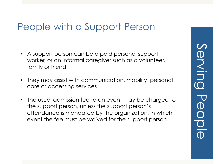#### People with a Support Person

- A support person can be a paid personal support worker, or an informal caregiver such as a volunteer, family or friend.
- They may assist with communication, mobility, personal care or accessing services.
- The usual admission fee to an event may be charged to the support person, unless the support person's attendance is mandated by the organization, in which event the fee must be waived for the support person.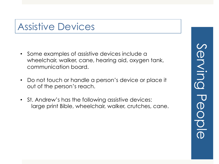#### Assistive Devices

- Some examples of assistive devices include a wheelchair, walker, cane, hearing aid, oxygen tank, communication board.
- Do not touch or handle a person's device or place it out of the person's reach.
- St. Andrew's has the following assistive devices: large print Bible, wheelchair, walker, crutches, cane.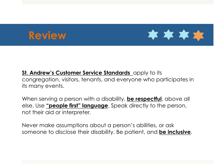# **Review**



#### **St. Andrew's Customer Service Standards** apply to its congregation, visitors, tenants, and everyone who participates in its many events.

When serving a person with a disability, **be respectful**, above all else. Use **"people first" language**. Speak directly to the person, not their aid or interpreter.

Never make assumptions about a person's abilities, or ask someone to disclose their disability. Be patient, and **be inclusive**.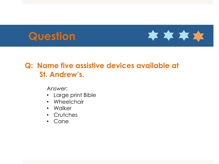# **Question**



#### **Q: Name five assistive devices available at \_\_\_\_St. Andrew's.**

Answer:

- Large print Bible
- Wheelchair
- Walker
- Crutches
- Cane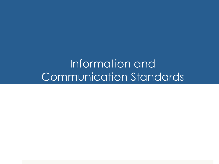Information and Communication Standards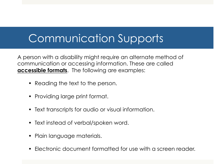# Communication Supports

A person with a disability might require an alternate method of communication or accessing information. These are called **accessible formats**. The following are examples:

- Reading the text to the person.
- Providing large print format.
- Text transcripts for audio or visual information.
- Text instead of verbal/spoken word.
- Plain language materials.
- Electronic document formatted for use with a screen reader.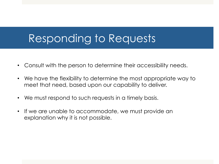### Responding to Requests

- Consult with the person to determine their accessibility needs.
- We have the flexibility to determine the most appropriate way to meet that need, based upon our capability to deliver.
- We must respond to such requests in a timely basis.
- If we are unable to accommodate, we must provide an explanation why it is not possible.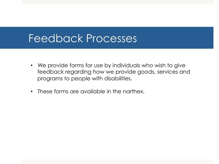#### Feedback Processes

- We provide forms for use by individuals who wish to give feedback regarding how we provide goods, services and programs to people with disabilities.
- These forms are available in the narthex.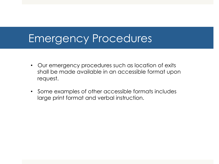#### Emergency Procedures

- Our emergency procedures such as location of exits shall be made available in an accessible format upon request.
- Some examples of other accessible formats includes large print format and verbal instruction.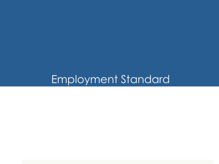# Employment Standard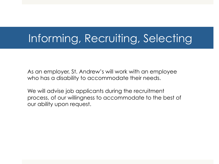### Informing, Recruiting, Selecting

As an employer, St. Andrew's will work with an employee who has a disability to accommodate their needs.

We will advise job applicants during the recruitment process, of our willingness to accommodate to the best of our ability upon request.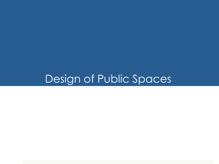### Design of Public Spaces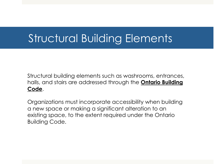# Structural Building Elements

Structural building elements such as washrooms, entrances, halls, and stairs are addressed through the **Ontario Building Code**.

Organizations must incorporate accessibility when building a new space or making a significant alteration to an existing space, to the extent required under the Ontario Building Code.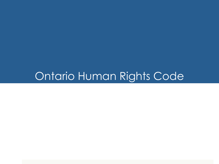### Ontario Human Rights Code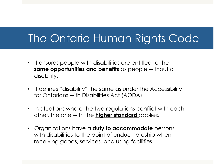# The Ontario Human Rights Code

- It ensures people with disabilities are entitled to the **same opportunities and benefits** as people without a disability.
- It defines "disability" the same as under the Accessibility for Ontarians with Disabilities Act (AODA).
- In situations where the two regulations conflict with each other, the one with the **higher standard** applies.
- Organizations have a **duty to accommodate** persons with disabilities to the point of undue hardship when receiving goods, services, and using facilities.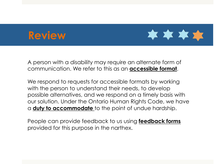#### **Review**



A person with a disability may require an alternate form of communication. We refer to this as an **accessible format**.

We respond to requests for accessible formats by working with the person to understand their needs, to develop possible alternatives, and we respond on a timely basis with our solution. Under the Ontario Human Rights Code, we have a **duty to accommodate** to the point of undue hardship.

People can provide feedback to us using **feedback forms**  provided for this purpose in the narthex.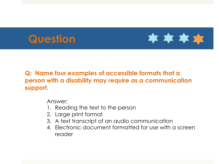# **Question**



#### **Q: Name four examples of accessible formats that a person with a disability may require as a communication support.**

Answer:

- 1. Reading the text to the person
- 2. Large print format
- 3. A text transcript of an audio communication
- 4. Electronic document formatted for use with a screen reader